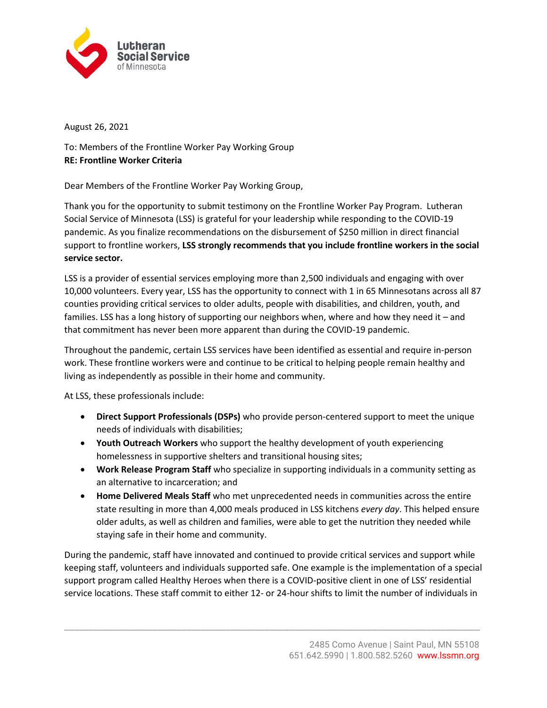

August 26, 2021

To: Members of the Frontline Worker Pay Working Group **RE: Frontline Worker Criteria** 

Dear Members of the Frontline Worker Pay Working Group,

Thank you for the opportunity to submit testimony on the Frontline Worker Pay Program. Lutheran Social Service of Minnesota (LSS) is grateful for your leadership while responding to the COVID-19 pandemic. As you finalize recommendations on the disbursement of \$250 million in direct financial support to frontline workers, **LSS strongly recommends that you include frontline workers in the social service sector.**

LSS is a provider of essential services employing more than 2,500 individuals and engaging with over 10,000 volunteers. Every year, LSS has the opportunity to connect with 1 in 65 Minnesotans across all 87 counties providing critical services to older adults, people with disabilities, and children, youth, and families. LSS has a long history of supporting our neighbors when, where and how they need it – and that commitment has never been more apparent than during the COVID-19 pandemic.

Throughout the pandemic, certain LSS services have been identified as essential and require in-person work. These frontline workers were and continue to be critical to helping people remain healthy and living as independently as possible in their home and community.

At LSS, these professionals include:

- **Direct Support Professionals (DSPs)** who provide person-centered support to meet the unique needs of individuals with disabilities;
- **Youth Outreach Workers** who support the healthy development of youth experiencing homelessness in supportive shelters and transitional housing sites;
- **Work Release Program Staff** who specialize in supporting individuals in a community setting as an alternative to incarceration; and
- **Home Delivered Meals Staff** who met unprecedented needs in communities across the entire state resulting in more than 4,000 meals produced in LSS kitchens *every day*. This helped ensure older adults, as well as children and families, were able to get the nutrition they needed while staying safe in their home and community.

During the pandemic, staff have innovated and continued to provide critical services and support while keeping staff, volunteers and individuals supported safe. One example is the implementation of a special support program called Healthy Heroes when there is a COVID-positive client in one of LSS' residential service locations. These staff commit to either 12- or 24-hour shifts to limit the number of individuals in

\_\_\_\_\_\_\_\_\_\_\_\_\_\_\_\_\_\_\_\_\_\_\_\_\_\_\_\_\_\_\_\_\_\_\_\_\_\_\_\_\_\_\_\_\_\_\_\_\_\_\_\_\_\_\_\_\_\_\_\_\_\_\_\_\_\_\_\_\_\_\_\_\_\_\_\_\_\_\_\_\_\_\_\_\_